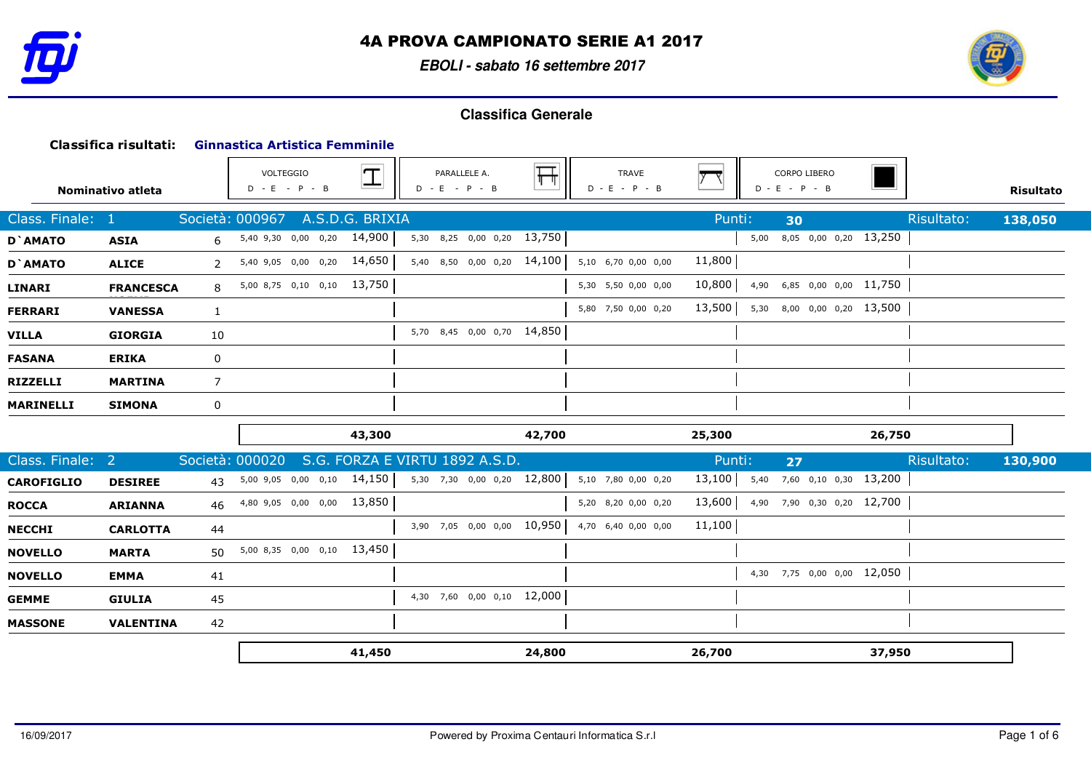

**EBOLI - sabato 16 settembre 2017**



|                   | Classifica risultati: |                | <b>Ginnastica Artistica Femminile</b> |                   |                                 |                         |                          |              |                                 |        |            |                  |
|-------------------|-----------------------|----------------|---------------------------------------|-------------------|---------------------------------|-------------------------|--------------------------|--------------|---------------------------------|--------|------------|------------------|
|                   | Nominativo atleta     |                | VOLTEGGIO<br>$D - E - P - B$          | $\overline{\bot}$ | PARALLELE A.<br>$D - E - P - B$ | $\overline{\mathbb{H}}$ | TRAVE<br>$D - E - P - B$ | $ y - \chi $ | CORPO LIBERO<br>$D - E - P - B$ |        |            | <b>Risultato</b> |
| Class. Finale:    | - 1                   |                | Società: 000967                       | A.S.D.G. BRIXIA   |                                 |                         |                          | Punti:       | 30                              |        | Risultato: | 138,050          |
| D'AMATO           | <b>ASIA</b>           | 6              | 5,40 9,30 0,00 0,20                   | 14,900            | 5,30 8,25 0,00 0,20             | 13,750                  |                          |              | 8,05 0,00 0,20 13,250<br>5,00   |        |            |                  |
| D'AMATO           | <b>ALICE</b>          | $\overline{2}$ | 5,40 9,05 0,00 0,20 14,650            |                   | 5,40 8,50 0,00 0,20 14,100      |                         | 5,10 6,70 0,00 0,00      | 11,800       |                                 |        |            |                  |
| <b>LINARI</b>     | <b>FRANCESCA</b>      | 8              | 5,00 8,75 0,10 0,10                   | 13,750            |                                 |                         | 5,30 5,50 0,00 0,00      | 10,800       | 6,85 0,00 0,00 11,750<br>4,90   |        |            |                  |
| <b>FERRARI</b>    | <b>VANESSA</b>        | $\mathbf{1}$   |                                       |                   |                                 |                         | 5,80 7,50 0,00 0,20      | 13,500       | 8,00 0,00 0,20 13,500<br>5,30   |        |            |                  |
| <b>VILLA</b>      | <b>GIORGIA</b>        | 10             |                                       |                   | 5,70 8,45 0,00 0,70 14,850      |                         |                          |              |                                 |        |            |                  |
| <b>FASANA</b>     | <b>ERIKA</b>          | $\mathbf 0$    |                                       |                   |                                 |                         |                          |              |                                 |        |            |                  |
| <b>RIZZELLI</b>   | <b>MARTINA</b>        | $\overline{7}$ |                                       |                   |                                 |                         |                          |              |                                 |        |            |                  |
| <b>MARINELLI</b>  | <b>SIMONA</b>         | 0              |                                       |                   |                                 |                         |                          |              |                                 |        |            |                  |
|                   |                       |                |                                       | 43,300            |                                 | 42,700                  |                          | 25,300       |                                 | 26,750 |            |                  |
| Class. Finale:    | $\sqrt{2}$            |                | Società: 000020                       |                   | S.G. FORZA E VIRTU 1892 A.S.D.  |                         |                          | Punti:       | 27                              |        | Risultato: | 130,900          |
| <b>CAROFIGLIO</b> | <b>DESIREE</b>        | 43             | 5,00 9,05 0,00 0,10                   | 14,150            | 5,30 7,30 0,00 0,20             | 12,800                  | 5,10 7,80 0,00 0,20      | 13,100       | 7,60 0,10 0,30<br>5,40          | 13,200 |            |                  |
| <b>ROCCA</b>      | <b>ARIANNA</b>        | 46             | 4,80 9,05 0,00 0,00 13,850            |                   |                                 |                         | 5,20 8,20 0,00 0,20      | 13,600       | 4,90 7,90 0,30 0,20 12,700      |        |            |                  |
| <b>NECCHI</b>     | <b>CARLOTTA</b>       | 44             |                                       |                   | 3,90 7,05 0,00 0,00 10,950      |                         | 4,70 6,40 0,00 0,00      | 11,100       |                                 |        |            |                  |
| <b>NOVELLO</b>    | <b>MARTA</b>          | 50             | 5,00 8,35 0,00 0,10 13,450            |                   |                                 |                         |                          |              |                                 |        |            |                  |
| <b>NOVELLO</b>    | <b>EMMA</b>           | 41             |                                       |                   |                                 |                         |                          |              | 4,30 7,75 0,00 0,00 12,050      |        |            |                  |
| <b>GEMME</b>      | <b>GIULIA</b>         | 45             |                                       |                   | 4,30 7,60 0,00 0,10 12,000      |                         |                          |              |                                 |        |            |                  |
| <b>MASSONE</b>    | <b>VALENTINA</b>      | 42             |                                       |                   |                                 |                         |                          |              |                                 |        |            |                  |
|                   |                       |                |                                       | 41,450            |                                 | 24,800                  |                          | 26,700       |                                 | 37,950 |            |                  |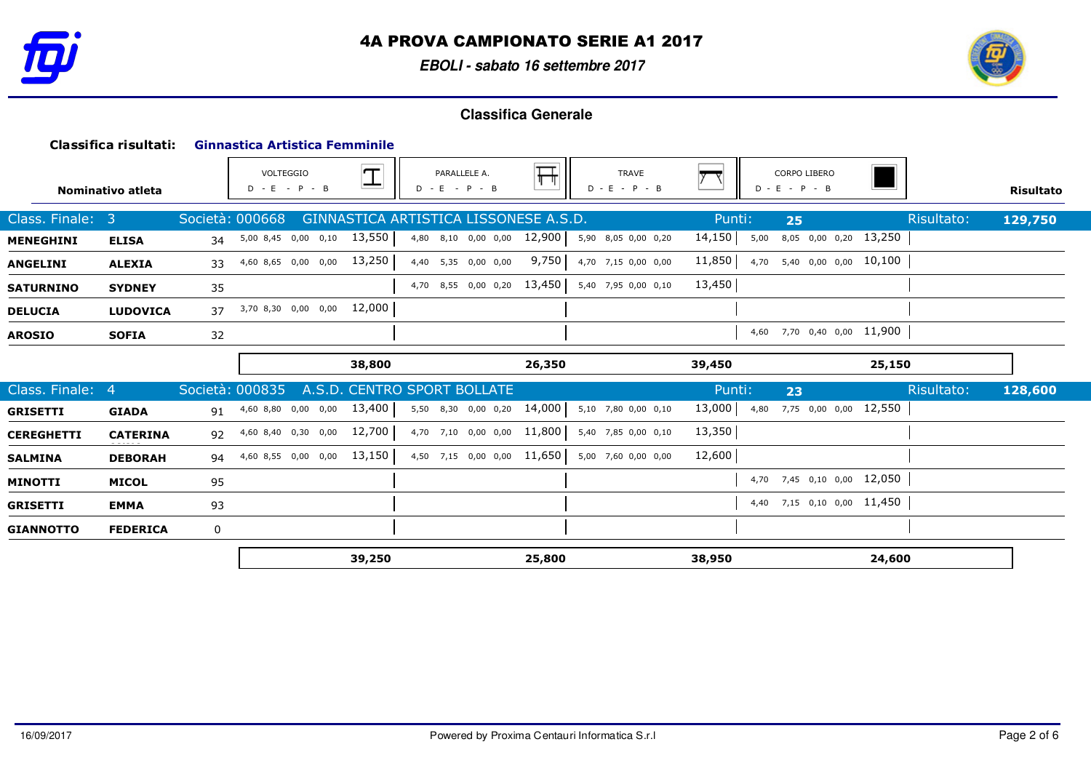

**EBOLI - sabato 16 settembre 2017**



|                   | Classifica risultati: |                 |                              | <b>Ginnastica Artistica Femminile</b> |             |                                       |                         |                                 |        |                                 |            |           |
|-------------------|-----------------------|-----------------|------------------------------|---------------------------------------|-------------|---------------------------------------|-------------------------|---------------------------------|--------|---------------------------------|------------|-----------|
|                   | Nominativo atleta     |                 | VOLTEGGIO<br>$D - E - P - B$ |                                       | $\mathbf I$ | PARALLELE A.<br>$D - E - P - B$       | $\overline{\mathbb{H}}$ | <b>TRAVE</b><br>$D - E - P - B$ |        | CORPO LIBERO<br>$D - E - P - B$ |            | Risultato |
| Class. Finale:    | 3                     | Società: 000668 |                              |                                       |             | GINNASTICA ARTISTICA LISSONESE A.S.D. |                         |                                 | Punti: | 25                              | Risultato: | 129,750   |
| <b>MENEGHINI</b>  | <b>ELISA</b>          | 34              |                              | 5,00 8,45 0,00 0,10                   | 13,550      | 4,80 8,10 0,00 0,00                   | 12,900                  | 5,90 8,05 0,00 0,20             | 14,150 | 8,05 0,00 0,20 13,250<br>5,00   |            |           |
| <b>ANGELINI</b>   | <b>ALEXIA</b>         | 33              |                              | 4,60 8,65 0,00 0,00 13,250            |             | 4,40 5,35 0,00 0,00                   | 9,750                   | 4,70 7,15 0,00 0,00             | 11,850 | 4,70 5,40 0,00 0,00 10,100      |            |           |
| <b>SATURNINO</b>  | <b>SYDNEY</b>         | 35              |                              |                                       |             | 4,70 8,55 0,00 0,20 13,450            |                         | 5,40 7,95 0,00 0,10             | 13,450 |                                 |            |           |
| <b>DELUCIA</b>    | <b>LUDOVICA</b>       | 37              |                              | 3,70 8,30 0,00 0,00 12,000            |             |                                       |                         |                                 |        |                                 |            |           |
| <b>AROSIO</b>     | <b>SOFIA</b>          | 32              |                              |                                       |             |                                       |                         |                                 |        | 4,60 7,70 0,40 0,00 11,900      |            |           |
|                   |                       |                 |                              |                                       | 38,800      |                                       | 26,350                  |                                 | 39,450 |                                 | 25,150     |           |
| Class. Finale: 4  |                       | Società: 000835 |                              |                                       |             | A.S.D. CENTRO SPORT BOLLATE           |                         |                                 | Punti: | 23                              | Risultato: | 128,600   |
| <b>GRISETTI</b>   | <b>GIADA</b>          |                 |                              |                                       |             |                                       |                         |                                 |        |                                 |            |           |
|                   |                       |                 | 91 4,60 8,80 0,00 0,00       |                                       | 13,400      | 5,50 8,30 0,00 0,20                   | 14,000                  | 5,10 7,80 0,00 0,10             | 13,000 | 7,75 0,00 0,00 12,550<br>4,80   |            |           |
| <b>CEREGHETTI</b> | <b>CATERINA</b>       | 92              |                              | 4,60 8,40 0,30 0,00                   | 12,700      | 4,70 7,10 0,00 0,00 11,800            |                         | 5,40 7,85 0,00 0,10             | 13,350 |                                 |            |           |
| <b>SALMINA</b>    | <b>DEBORAH</b>        | 94              |                              | 4,60 8,55 0,00 0,00 13,150            |             | 4,50 7,15 0,00 0,00 11,650            |                         | 5,00 7,60 0,00 0,00             | 12,600 |                                 |            |           |
| <b>MINOTTI</b>    | <b>MICOL</b>          | 95              |                              |                                       |             |                                       |                         |                                 |        | 4,70 7,45 0,10 0,00 12,050      |            |           |
| <b>GRISETTI</b>   | <b>EMMA</b>           | 93              |                              |                                       |             |                                       |                         |                                 |        | 4,40 7,15 0,10 0,00 11,450      |            |           |
| <b>GIANNOTTO</b>  | <b>FEDERICA</b>       | 0               |                              |                                       |             |                                       |                         |                                 |        |                                 |            |           |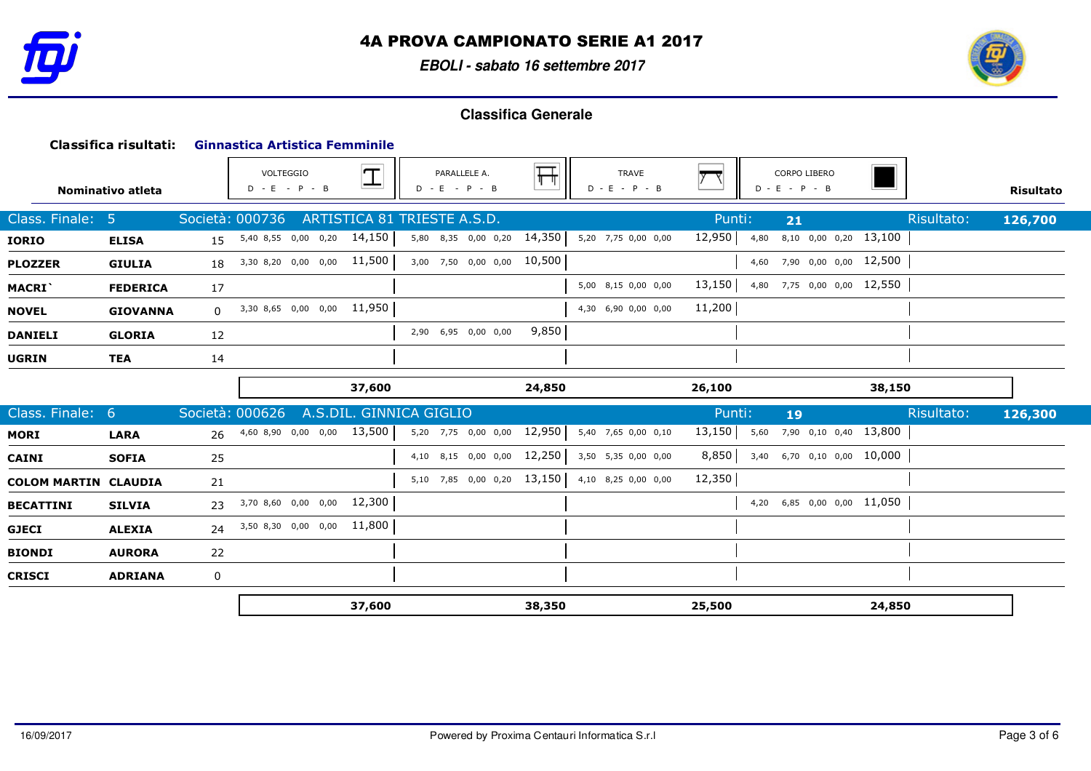

**EBOLI - sabato 16 settembre 2017**



|                             | Classifica risultati: |                 | <b>Ginnastica Artistica Femminile</b> |                          |                                 |        |                                 |                                 |            |                  |
|-----------------------------|-----------------------|-----------------|---------------------------------------|--------------------------|---------------------------------|--------|---------------------------------|---------------------------------|------------|------------------|
|                             | Nominativo atleta     |                 | VOLTEGGIO<br>$D - E - P - B$          | $\vert \mathbf{T} \vert$ | PARALLELE A.<br>$D - E - P - B$ | 幵      | <b>TRAVE</b><br>$D - E - P - B$ | CORPO LIBERO<br>$D - E - P - B$ |            | <b>Risultato</b> |
| Class. Finale:              | -5.                   | Società: 000736 |                                       |                          | ARTISTICA 81 TRIESTE A.S.D.     |        | Punti:                          | 21                              | Risultato: | 126,700          |
| <b>IORIO</b>                | <b>ELISA</b>          |                 | 15 5,40 8,55 0,00 0,20 14,150         |                          | 5,80 8,35 0,00 0,20             | 14,350 | 12,950<br>5,20 7,75 0,00 0,00   | 8,10 0,00 0,20 13,100<br>4,80   |            |                  |
| <b>PLOZZER</b>              | <b>GIULIA</b>         |                 | 18 3,30 8,20 0,00 0,00 11,500         |                          | 3,00 7,50 0,00 0,00 10,500      |        |                                 | 4,60 7,90 0,00 0,00 12,500      |            |                  |
| MACRI`                      | <b>FEDERICA</b>       | 17              |                                       |                          |                                 |        | 13,150<br>5,00 8,15 0,00 0,00   | 4,80 7,75 0,00 0,00 12,550      |            |                  |
| <b>NOVEL</b>                | <b>GIOVANNA</b>       | $\Omega$        | 3,30 8,65 0,00 0,00 11,950            |                          |                                 |        | 11,200<br>4,30 6,90 0,00 0,00   |                                 |            |                  |
| <b>DANIELI</b>              | <b>GLORIA</b>         | 12              |                                       |                          | 2,90 6,95 0,00 0,00             | 9,850  |                                 |                                 |            |                  |
| <b>UGRIN</b>                | <b>TEA</b>            | 14              |                                       |                          |                                 |        |                                 |                                 |            |                  |
|                             |                       |                 |                                       | 37,600                   |                                 | 24,850 | 26,100                          |                                 | 38,150     |                  |
|                             |                       |                 |                                       |                          |                                 |        |                                 |                                 |            |                  |
| Class. Finale: 6            |                       | Società: 000626 |                                       |                          | A.S.DIL. GINNICA GIGLIO         |        | Punti:                          | 19                              | Risultato: | 126,300          |
| MORI                        | <b>LARA</b>           |                 | 26 4,60 8,90 0,00 0,00 13,500         |                          | 5,20 7,75 0,00 0,00             | 12,950 | 13,150<br>5,40 7,65 0,00 0,10   | 5,60 7,90 0,10 0,40 13,800      |            |                  |
| <b>CAINI</b>                | <b>SOFIA</b>          | 25              |                                       |                          | 4,10 8,15 0,00 0,00             | 12,250 | 8,850<br>3,50 5,35 0,00 0,00    | 3,40 6,70 0,10 0,00 10,000      |            |                  |
| <b>COLOM MARTIN CLAUDIA</b> |                       | 21              |                                       |                          | 5,10 7,85 0,00 0,20 13,150      |        | 12,350<br>4,10 8,25 0,00 0,00   |                                 |            |                  |
| <b>BECATTINI</b>            | <b>SILVIA</b>         | 23              | 3,70 8,60 0,00 0,00 12,300            |                          |                                 |        |                                 | 4,20 6,85 0,00 0,00 11,050      |            |                  |
| <b>GJECI</b>                | <b>ALEXIA</b>         | 24              | 3,50 8,30 0,00 0,00 11,800            |                          |                                 |        |                                 |                                 |            |                  |
| <b>BIONDI</b>               | <b>AURORA</b>         | 22              |                                       |                          |                                 |        |                                 |                                 |            |                  |
| <b>CRISCI</b>               | <b>ADRIANA</b>        | 0               |                                       |                          |                                 |        |                                 |                                 |            |                  |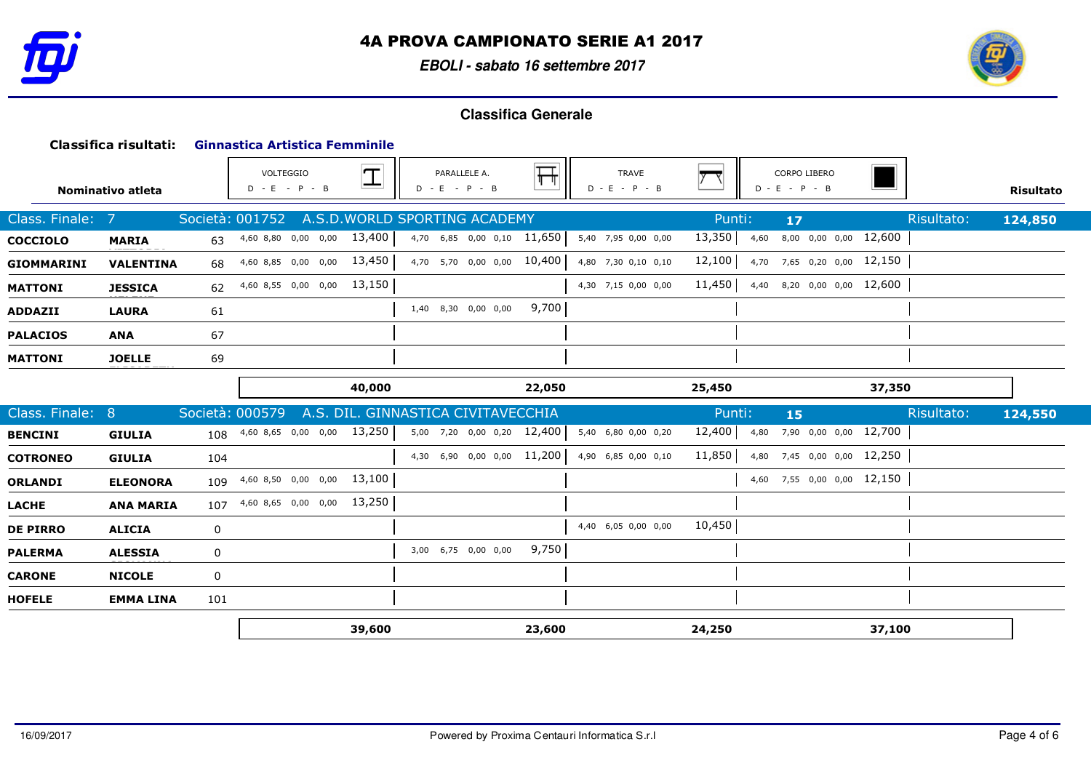

**EBOLI - sabato 16 settembre 2017**



|                   | Classifica risultati: |             | <b>Ginnastica Artistica Femminile</b> |                            |                                    |                                 |                            |                                 |        |      |                                        |        |            |                  |
|-------------------|-----------------------|-------------|---------------------------------------|----------------------------|------------------------------------|---------------------------------|----------------------------|---------------------------------|--------|------|----------------------------------------|--------|------------|------------------|
|                   | Nominativo atleta     |             | VOLTEGGIO<br>$D - E - P - B$          |                            | $ \mathbf{T} $                     | PARALLELE A.<br>$D - E - P - B$ | 표                          | <b>TRAVE</b><br>$D - E - P - B$ |        |      | <b>CORPO LIBERO</b><br>$D - E - P - B$ |        |            | <b>Risultato</b> |
| Class. Finale: 7  |                       |             | Società: 001752                       |                            | A.S.D. WORLD SPORTING ACADEMY      |                                 |                            |                                 | Punti: |      | $17$                                   |        | Risultato: | 124,850          |
| <b>COCCIOLO</b>   | <b>MARIA</b>          | 63          |                                       | 4,60 8,80 0,00 0,00 13,400 |                                    |                                 | 4,70 6,85 0,00 0,10 11,650 | 5,40 7,95 0,00 0,00             | 13,350 | 4,60 | 8,00 0,00 0,00 12,600                  |        |            |                  |
| <b>GIOMMARINI</b> | <b>VALENTINA</b>      | 68          |                                       | 4,60 8,85 0,00 0,00 13,450 |                                    |                                 | 4,70 5,70 0,00 0,00 10,400 | 4,80 7,30 0,10 0,10             | 12,100 |      | 4,70 7,65 0,20 0,00 12,150             |        |            |                  |
| <b>MATTONI</b>    | <b>JESSICA</b>        | 62          |                                       | 4,60 8,55 0,00 0,00 13,150 |                                    |                                 |                            | 4,30 7,15 0,00 0,00             | 11,450 |      | 4,40 8,20 0,00 0,00 12,600             |        |            |                  |
| <b>ADDAZII</b>    | <b>LAURA</b>          | 61          |                                       |                            |                                    | 1,40 8,30 0,00 0,00             | 9,700                      |                                 |        |      |                                        |        |            |                  |
| <b>PALACIOS</b>   | <b>ANA</b>            | 67          |                                       |                            |                                    |                                 |                            |                                 |        |      |                                        |        |            |                  |
| <b>MATTONI</b>    | <b>JOELLE</b>         | 69          |                                       |                            |                                    |                                 |                            |                                 |        |      |                                        |        |            |                  |
|                   |                       |             |                                       |                            | 40,000                             |                                 |                            |                                 |        |      |                                        | 37,350 |            |                  |
|                   |                       |             |                                       |                            |                                    |                                 | 22,050                     |                                 | 25,450 |      |                                        |        |            |                  |
| Class. Finale: 8  |                       |             | Società: 000579                       |                            | A.S. DIL. GINNASTICA CIVITAVECCHIA |                                 |                            |                                 | Punti: |      | 15                                     |        | Risultato: | 124,550          |
| <b>BENCINI</b>    | <b>GIULIA</b>         |             | 108 4,60 8,65 0,00 0,00 13,250        |                            |                                    |                                 | 5,00 7,20 0,00 0,20 12,400 | 5,40 6,80 0,00 0,20             | 12,400 |      | 4,80 7,90 0,00 0,00 12,700             |        |            |                  |
| <b>COTRONEO</b>   | <b>GIULIA</b>         | 104         |                                       |                            |                                    |                                 | 4,30 6,90 0,00 0,00 11,200 | 4,90 6,85 0,00 0,10             | 11,850 |      | 4,80 7,45 0,00 0,00 12,250             |        |            |                  |
| <b>ORLANDI</b>    | <b>ELEONORA</b>       | 109         |                                       | 4,60 8,50 0,00 0,00        | 13,100                             |                                 |                            |                                 |        |      | 4,60 7,55 0,00 0,00 12,150             |        |            |                  |
| <b>LACHE</b>      | <b>ANA MARIA</b>      | 107         |                                       | 4,60 8,65 0,00 0,00        | 13,250                             |                                 |                            |                                 |        |      |                                        |        |            |                  |
| <b>DE PIRRO</b>   | <b>ALICIA</b>         | 0           |                                       |                            |                                    |                                 |                            | 4,40 6,05 0,00 0,00             | 10,450 |      |                                        |        |            |                  |
| <b>PALERMA</b>    | <b>ALESSIA</b>        | 0           |                                       |                            |                                    | 3,00 6,75 0,00 0,00             | 9,750                      |                                 |        |      |                                        |        |            |                  |
| <b>CARONE</b>     | <b>NICOLE</b>         | $\mathbf 0$ |                                       |                            |                                    |                                 |                            |                                 |        |      |                                        |        |            |                  |
| <b>HOFELE</b>     | <b>EMMA LINA</b>      | 101         |                                       |                            |                                    |                                 |                            |                                 |        |      |                                        |        |            |                  |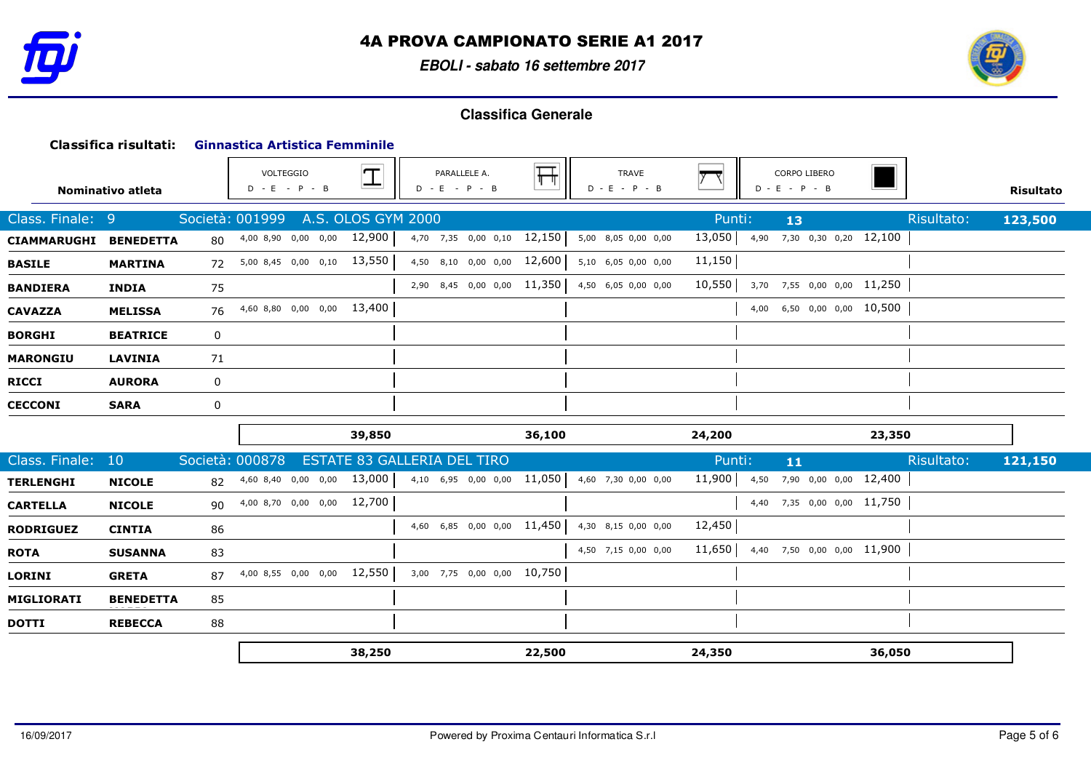

**EBOLI - sabato 16 settembre 2017**



|                    | Classifica risultati: |    | <b>Ginnastica Artistica Femminile</b> |                    |                                 |        |                                 |        |                                 |            |                  |
|--------------------|-----------------------|----|---------------------------------------|--------------------|---------------------------------|--------|---------------------------------|--------|---------------------------------|------------|------------------|
|                    | Nominativo atleta     |    | VOLTEGGIO<br>$D - E - P - B$          | $\mathbb{I}$       | PARALLELE A.<br>$D - E - P - B$ | 幵      | <b>TRAVE</b><br>$D - E - P - B$ |        | CORPO LIBERO<br>$D - E - P - B$ |            | <b>Risultato</b> |
| Class. Finale: 9   |                       |    | Società: 001999                       | A.S. OLOS GYM 2000 |                                 |        |                                 | Punti: | 13                              | Risultato: | 123,500          |
| <b>CIAMMARUGHI</b> | <b>BENEDETTA</b>      | 80 | 4,00 8,90 0,00 0,00                   | 12,900             | 4,70 7,35 0,00 0,10 12,150      |        | 5,00 8,05 0,00 0,00             | 13,050 | 4,90 7,30 0,30 0,20 12,100      |            |                  |
| <b>BASILE</b>      | <b>MARTINA</b>        | 72 | 5,00 8,45 0,00 0,10 13,550            |                    | 4,50 8,10 0,00 0,00 12,600      |        | 5,10 6,05 0,00 0,00             | 11,150 |                                 |            |                  |
| <b>BANDIERA</b>    | <b>INDIA</b>          | 75 |                                       |                    | 2,90 8,45 0,00 0,00 11,350      |        | 4,50 6,05 0,00 0,00             | 10,550 | 3,70 7,55 0,00 0,00 11,250      |            |                  |
| <b>CAVAZZA</b>     | <b>MELISSA</b>        | 76 | 4,60 8,80 0,00 0,00 13,400            |                    |                                 |        |                                 |        | 4,00 6,50 0,00 0,00 10,500      |            |                  |
| <b>BORGHI</b>      | <b>BEATRICE</b>       | 0  |                                       |                    |                                 |        |                                 |        |                                 |            |                  |
| <b>MARONGIU</b>    | <b>LAVINIA</b>        | 71 |                                       |                    |                                 |        |                                 |        |                                 |            |                  |
| <b>RICCI</b>       | <b>AURORA</b>         | 0  |                                       |                    |                                 |        |                                 |        |                                 |            |                  |
| <b>CECCONI</b>     | <b>SARA</b>           | 0  |                                       |                    |                                 |        |                                 |        |                                 |            |                  |
|                    |                       |    |                                       | 39,850             |                                 | 36,100 |                                 | 24,200 |                                 | 23,350     |                  |
| Class. Finale:     | 10                    |    | Società: 000878                       |                    | ESTATE 83 GALLERIA DEL TIRO     |        |                                 | Punti: | 11                              | Risultato: | 121,150          |
| <b>TERLENGHI</b>   | <b>NICOLE</b>         | 82 | 4,60 8,40 0,00 0,00 13,000            |                    | 4,10 6,95 0,00 0,00 11,050      |        | 4,60 7,30 0,00 0,00             | 11,900 | 4,50 7,90 0,00 0,00 12,400      |            |                  |
| <b>CARTELLA</b>    | <b>NICOLE</b>         | 90 | 4,00 8,70 0,00 0,00 12,700            |                    |                                 |        |                                 |        | 4,40 7,35 0,00 0,00 11,750      |            |                  |
| <b>RODRIGUEZ</b>   | <b>CINTIA</b>         | 86 |                                       |                    | 4,60 6,85 0,00 0,00 11,450      |        | 4,30 8,15 0,00 0,00             | 12,450 |                                 |            |                  |
| <b>ROTA</b>        | <b>SUSANNA</b>        | 83 |                                       |                    |                                 |        | 4,50 7,15 0,00 0,00             | 11,650 | 4,40 7,50 0,00 0,00 11,900      |            |                  |
| <b>LORINI</b>      | <b>GRETA</b>          | 87 | 4,00 8,55 0,00 0,00 12,550            |                    | 3,00 7,75 0,00 0,00 10,750      |        |                                 |        |                                 |            |                  |
| MIGLIORATI         | <b>BENEDETTA</b>      | 85 |                                       |                    |                                 |        |                                 |        |                                 |            |                  |
| <b>DOTTI</b>       | <b>REBECCA</b>        | 88 |                                       |                    |                                 |        |                                 |        |                                 |            |                  |
|                    |                       |    |                                       | 38,250             |                                 | 22,500 |                                 | 24,350 |                                 | 36,050     |                  |